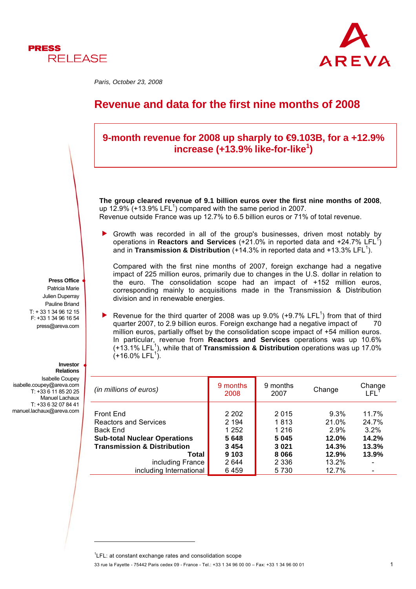



*Paris, October 23, 2008* 

# **Revenue and data for the first nine months of 2008**



33 rue la Fayette - 75442 Paris cedex 09 - France - Tel.: +33 1 34 96 00 00 – Fax: +33 1 34 96 00 01 1  ${}^{1}$ LFL: at constant exchange rates and consolidation scope

l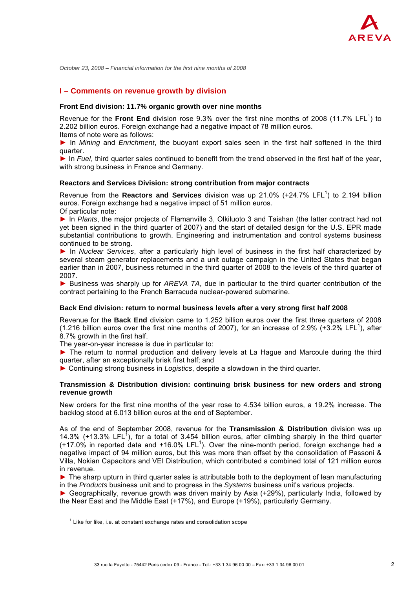

### **I – Comments on revenue growth by division**

#### **Front End division: 11.7% organic growth over nine months**

Revenue for the Front End division rose 9.3% over the first nine months of 2008 (11.7% LFL<sup>1</sup>) to 2.202 billion euros. Foreign exchange had a negative impact of 78 million euros. Items of note were as follows:

► In *Mining* and *Enrichment*, the buoyant export sales seen in the first half softened in the third quarter.

► In *Fuel*, third quarter sales continued to benefit from the trend observed in the first half of the year, with strong business in France and Germany.

#### **Reactors and Services Division: strong contribution from major contracts**

Revenue from the **Reactors and Services** division was up 21.0% (+24.7% LFL<sup>1</sup>) to 2.194 billion euros. Foreign exchange had a negative impact of 51 million euros.

Of particular note:

► In *Plants*, the major projects of Flamanville 3, Olkiluoto 3 and Taishan (the latter contract had not yet been signed in the third quarter of 2007) and the start of detailed design for the U.S. EPR made substantial contributions to growth. Engineering and instrumentation and control systems business continued to be strong.

► In *Nuclear Services*, after a particularly high level of business in the first half characterized by several steam generator replacements and a unit outage campaign in the United States that began earlier than in 2007, business returned in the third quarter of 2008 to the levels of the third quarter of 2007.

► Business was sharply up for *AREVA TA*, due in particular to the third quarter contribution of the contract pertaining to the French Barracuda nuclear-powered submarine.

#### **Back End division: return to normal business levels after a very strong first half 2008**

Revenue for the **Back End** division came to 1.252 billion euros over the first three quarters of 2008 (1.216 billion euros over the first nine months of 2007), for an increase of 2.9% (+3.2% LFL<sup>1</sup>), after 8.7% growth in the first half.

The year-on-year increase is due in particular to:

► The return to normal production and delivery levels at La Hague and Marcoule during the third quarter, after an exceptionally brisk first half; and

► Continuing strong business in *Logistics*, despite a slowdown in the third quarter.

#### **Transmission & Distribution division: continuing brisk business for new orders and strong revenue growth**

New orders for the first nine months of the year rose to 4.534 billion euros, a 19.2% increase. The backlog stood at 6.013 billion euros at the end of September.

As of the end of September 2008, revenue for the **Transmission & Distribution** division was up 14.3% (+13.3% LFL<sup>1</sup>), for a total of 3.454 billion euros, after climbing sharply in the third quarter  $(+17.0\%$  in reported data and  $+16.0\%$  LFL<sup>1</sup>). Over the nine-month period, foreign exchange had a negative impact of 94 million euros, but this was more than offset by the consolidation of Passoni & Villa, Nokian Capacitors and VEI Distribution, which contributed a combined total of 121 million euros in revenue.

► The sharp upturn in third quarter sales is attributable both to the deployment of lean manufacturing in the *Products* business unit and to progress in the *Systems* business unit's various projects.

► Geographically, revenue growth was driven mainly by Asia (+29%), particularly India, followed by the Near East and the Middle East (+17%), and Europe (+19%), particularly Germany.

 $1$  Like for like, i.e. at constant exchange rates and consolidation scope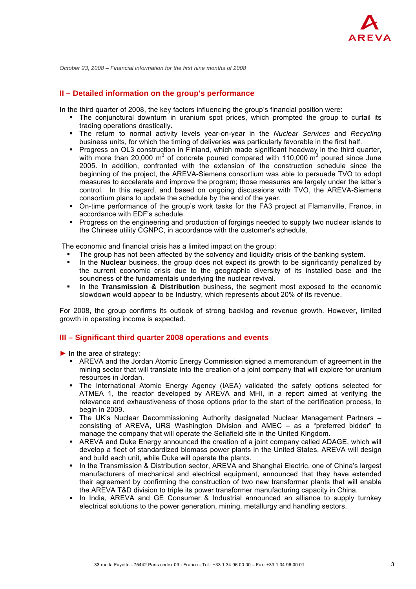

## **II – Detailed information on the group's performance**

In the third quarter of 2008, the key factors influencing the group's financial position were:

- The conjunctural downturn in uranium spot prices, which prompted the group to curtail its trading operations drastically.
- The return to normal activity levels year-on-year in the *Nuclear Services* and *Recycling* business units, for which the timing of deliveries was particularly favorable in the first half.
- Progress on OL3 construction in Finland, which made significant headway in the third quarter, with more than 20,000 m<sup>3</sup> of concrete poured compared with 110,000 m<sup>3</sup> poured since June 2005. In addition, confronted with the extension of the construction schedule since the beginning of the project, the AREVA-Siemens consortium was able to persuade TVO to adopt measures to accelerate and improve the program; those measures are largely under the latter's control. In this regard, and based on ongoing discussions with TVO, the AREVA-Siemens consortium plans to update the schedule by the end of the year.
- On-time performance of the group's work tasks for the FA3 project at Flamanville, France, in accordance with EDF's schedule.
- **Progress on the engineering and production of forgings needed to supply two nuclear islands to** the Chinese utility CGNPC, in accordance with the customer's schedule.

The economic and financial crisis has a limited impact on the group:

- The group has not been affected by the solvency and liquidity crisis of the banking system.
- In the **Nuclear** business, the group does not expect its growth to be significantly penalized by the current economic crisis due to the geographic diversity of its installed base and the soundness of the fundamentals underlying the nuclear revival.
- In the **Transmission & Distribution** business, the segment most exposed to the economic slowdown would appear to be Industry, which represents about 20% of its revenue.

For 2008, the group confirms its outlook of strong backlog and revenue growth. However, limited growth in operating income is expected.

# **III – Significant third quarter 2008 operations and events**

- $\blacktriangleright$  In the area of strategy:
	- AREVA and the Jordan Atomic Energy Commission signed a memorandum of agreement in the mining sector that will translate into the creation of a joint company that will explore for uranium resources in Jordan.
	- The International Atomic Energy Agency (IAEA) validated the safety options selected for ATMEA 1, the reactor developed by AREVA and MHI, in a report aimed at verifying the relevance and exhaustiveness of those options prior to the start of the certification process, to begin in 2009.
	- The UK's Nuclear Decommissioning Authority designated Nuclear Management Partners consisting of AREVA, URS Washington Division and AMEC – as a "preferred bidder" to manage the company that will operate the Sellafield site in the United Kingdom.
	- AREVA and Duke Energy announced the creation of a joint company called ADAGE, which will develop a fleet of standardized biomass power plants in the United States. AREVA will design and build each unit, while Duke will operate the plants.
	- In the Transmission & Distribution sector, AREVA and Shanghai Electric, one of China's largest manufacturers of mechanical and electrical equipment, announced that they have extended their agreement by confirming the construction of two new transformer plants that will enable the AREVA T&D division to triple its power transformer manufacturing capacity in China.
	- In India, AREVA and GE Consumer & Industrial announced an alliance to supply turnkey electrical solutions to the power generation, mining, metallurgy and handling sectors.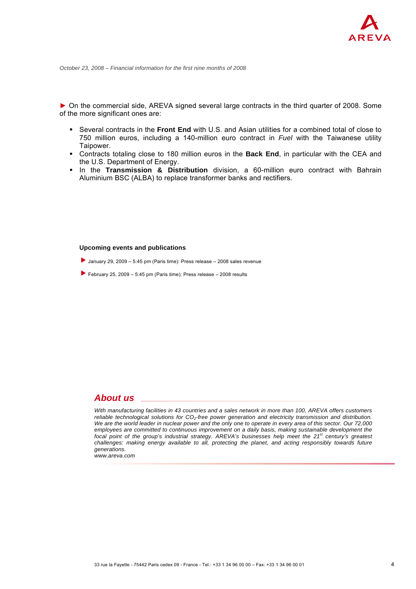► On the commercial side, AREVA signed several large contracts in the third quarter of 2008. Some of the more significant ones are:

- Several contracts in the **Front End** with U.S. and Asian utilities for a combined total of close to 750 million euros, including a 140-million euro contract in *Fuel* with the Taiwanese utility Taipower.
- Contracts totaling close to 180 million euros in the **Back End**, in particular with the CEA and the U.S. Department of Energy.
- In the **Transmission & Distribution** division, a 60-million euro contract with Bahrain Aluminium BSC (ALBA) to replace transformer banks and rectifiers.

#### **Upcoming events and publications**

- January 29, 2009 5:45 pm (Paris time): Press release 2008 sales revenue
- February 25, 2009 5:45 pm (Paris time): Press release 2008 results

# *About us*

*With manufacturing facilities in 43 countries and a sales network in more than 100, AREVA offers customers reliable technological solutions for CO<sub>2</sub>-free power generation and electricity transmission and distribution. We are the world leader in nuclear power and the only one to operate in every area of this sector. Our 72,000 employees are committed to continuous improvement on a daily basis, making sustainable development the focal point of the group's industrial strategy. AREVA's businesses help meet the 21st century's greatest challenges: making energy available to all, protecting the planet, and acting responsibly towards future generations.*

*www.areva.com*